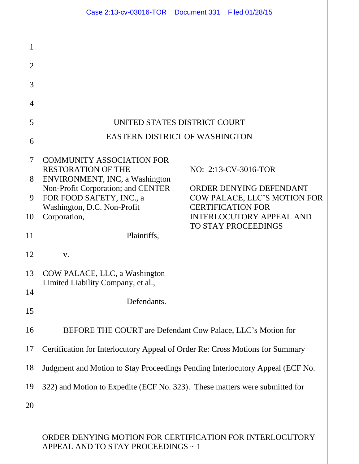|                                         | Case 2:13-cv-03016-TOR  Document 331  Filed 01/28/15                                                          |  |                                                                                                                        |
|-----------------------------------------|---------------------------------------------------------------------------------------------------------------|--|------------------------------------------------------------------------------------------------------------------------|
| 1<br>$\overline{2}$<br>3<br>4<br>5<br>6 | UNITED STATES DISTRICT COURT<br>EASTERN DISTRICT OF WASHINGTON                                                |  |                                                                                                                        |
| $\tau$<br>8                             | <b>COMMUNITY ASSOCIATION FOR</b><br><b>RESTORATION OF THE</b><br>ENVIRONMENT, INC, a Washington               |  | NO: 2:13-CV-3016-TOR                                                                                                   |
| 9<br>10                                 | Non-Profit Corporation; and CENTER<br>FOR FOOD SAFETY, INC., a<br>Washington, D.C. Non-Profit<br>Corporation, |  | ORDER DENYING DEFENDANT<br>COW PALACE, LLC'S MOTION FOR<br><b>CERTIFICATION FOR</b><br><b>INTERLOCUTORY APPEAL AND</b> |
| 11                                      | Plaintiffs,                                                                                                   |  | <b>TO STAY PROCEEDINGS</b>                                                                                             |
| 12                                      | V.                                                                                                            |  |                                                                                                                        |
| 13                                      | COW PALACE, LLC, a Washington<br>Limited Liability Company, et al.,                                           |  |                                                                                                                        |
| 14<br>15                                | Defendants.                                                                                                   |  |                                                                                                                        |
| 16                                      | BEFORE THE COURT are Defendant Cow Palace, LLC's Motion for                                                   |  |                                                                                                                        |
| 17                                      | Certification for Interlocutory Appeal of Order Re: Cross Motions for Summary                                 |  |                                                                                                                        |
| 18                                      | Judgment and Motion to Stay Proceedings Pending Interlocutory Appeal (ECF No.                                 |  |                                                                                                                        |
| 19                                      | 322) and Motion to Expedite (ECF No. 323). These matters were submitted for                                   |  |                                                                                                                        |
| 20                                      |                                                                                                               |  |                                                                                                                        |
|                                         | ORDER DENYING MOTION FOR CERTIFICATION FOR INTERLOCUTORY<br>APPEAL AND TO STAY PROCEEDINGS ~ 1                |  |                                                                                                                        |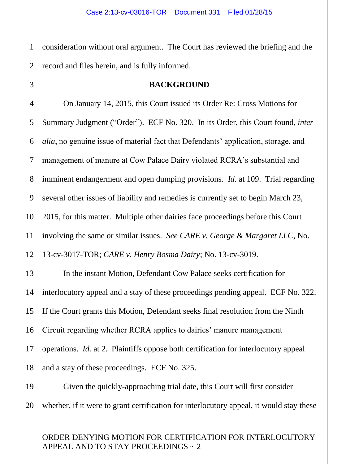1 2 consideration without oral argument. The Court has reviewed the briefing and the record and files herein, and is fully informed.

3

### **BACKGROUND**

4 5 6 7 8 9 10 11 12 On January 14, 2015, this Court issued its Order Re: Cross Motions for Summary Judgment ("Order"). ECF No. 320. In its Order, this Court found, *inter alia*, no genuine issue of material fact that Defendants' application, storage, and management of manure at Cow Palace Dairy violated RCRA's substantial and imminent endangerment and open dumping provisions. *Id.* at 109. Trial regarding several other issues of liability and remedies is currently set to begin March 23, 2015, for this matter. Multiple other dairies face proceedings before this Court involving the same or similar issues. *See CARE v. George & Margaret LLC*, No. 13-cv-3017-TOR; *CARE v. Henry Bosma Dairy*; No. 13-cv-3019.

13 14 15 16 17 18 In the instant Motion, Defendant Cow Palace seeks certification for interlocutory appeal and a stay of these proceedings pending appeal. ECF No. 322. If the Court grants this Motion, Defendant seeks final resolution from the Ninth Circuit regarding whether RCRA applies to dairies' manure management operations. *Id.* at 2. Plaintiffs oppose both certification for interlocutory appeal and a stay of these proceedings. ECF No. 325.

19 20 Given the quickly-approaching trial date, this Court will first consider whether, if it were to grant certification for interlocutory appeal, it would stay these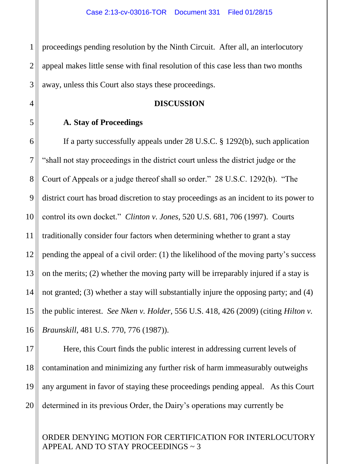1 2 3 proceedings pending resolution by the Ninth Circuit. After all, an interlocutory appeal makes little sense with final resolution of this case less than two months away, unless this Court also stays these proceedings.

#### **DISCUSSION**

#### **A. Stay of Proceedings**

4

5

6 7 8 9 10 11 12 13 14 15 16 If a party successfully appeals under 28 U.S.C. § 1292(b), such application "shall not stay proceedings in the district court unless the district judge or the Court of Appeals or a judge thereof shall so order." 28 U.S.C. 1292(b). "The district court has broad discretion to stay proceedings as an incident to its power to control its own docket." *Clinton v. Jones*, 520 U.S. 681, 706 (1997). Courts traditionally consider four factors when determining whether to grant a stay pending the appeal of a civil order: (1) the likelihood of the moving party's success on the merits; (2) whether the moving party will be irreparably injured if a stay is not granted; (3) whether a stay will substantially injure the opposing party; and (4) the public interest. *See Nken v. Holder,* 556 U.S. 418, 426 (2009) (citing *Hilton v. Braunskill*, 481 U.S. 770, 776 (1987)).

17 18 19 20 Here, this Court finds the public interest in addressing current levels of contamination and minimizing any further risk of harm immeasurably outweighs any argument in favor of staying these proceedings pending appeal. As this Court determined in its previous Order, the Dairy's operations may currently be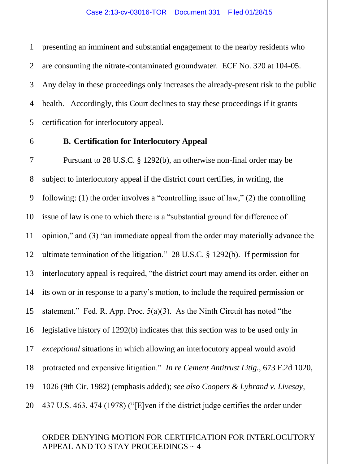1 2 3 4 5 presenting an imminent and substantial engagement to the nearby residents who are consuming the nitrate-contaminated groundwater. ECF No. 320 at 104-05. Any delay in these proceedings only increases the already-present risk to the public health. Accordingly, this Court declines to stay these proceedings if it grants certification for interlocutory appeal.

### **B. Certification for Interlocutory Appeal**

6

7 8 9 10 11 12 13 14 15 16 17 18 19 20 Pursuant to 28 U.S.C. § 1292(b), an otherwise non-final order may be subject to interlocutory appeal if the district court certifies, in writing, the following: (1) the order involves a "controlling issue of law," (2) the controlling issue of law is one to which there is a "substantial ground for difference of opinion," and (3) "an immediate appeal from the order may materially advance the ultimate termination of the litigation." 28 U.S.C. § 1292(b). If permission for interlocutory appeal is required, "the district court may amend its order, either on its own or in response to a party's motion, to include the required permission or statement." Fed. R. App. Proc. 5(a)(3). As the Ninth Circuit has noted "the legislative history of 1292(b) indicates that this section was to be used only in *exceptional* situations in which allowing an interlocutory appeal would avoid protracted and expensive litigation." *In re Cement Antitrust Litig.*, 673 F.2d 1020, 1026 (9th Cir. 1982) (emphasis added); *see also Coopers & Lybrand v. Livesay*, 437 U.S. 463, 474 (1978) ("[E]ven if the district judge certifies the order under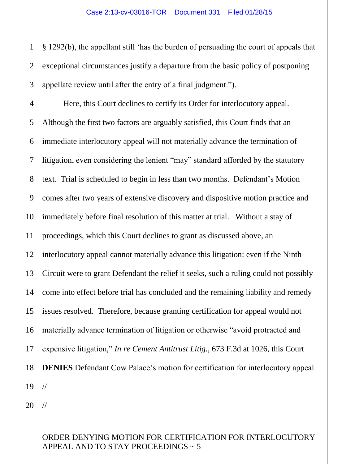1 2 3 § 1292(b), the appellant still 'has the burden of persuading the court of appeals that exceptional circumstances justify a departure from the basic policy of postponing appellate review until after the entry of a final judgment.").

4 5 6 7 8 9 10 11 12 13 14 15 16 17 18 19 Here, this Court declines to certify its Order for interlocutory appeal. Although the first two factors are arguably satisfied, this Court finds that an immediate interlocutory appeal will not materially advance the termination of litigation, even considering the lenient "may" standard afforded by the statutory text. Trial is scheduled to begin in less than two months. Defendant's Motion comes after two years of extensive discovery and dispositive motion practice and immediately before final resolution of this matter at trial. Without a stay of proceedings, which this Court declines to grant as discussed above, an interlocutory appeal cannot materially advance this litigation: even if the Ninth Circuit were to grant Defendant the relief it seeks, such a ruling could not possibly come into effect before trial has concluded and the remaining liability and remedy issues resolved. Therefore, because granting certification for appeal would not materially advance termination of litigation or otherwise "avoid protracted and expensive litigation," *In re Cement Antitrust Litig.*, 673 F.3d at 1026, this Court **DENIES** Defendant Cow Palace's motion for certification for interlocutory appeal. //

20

//